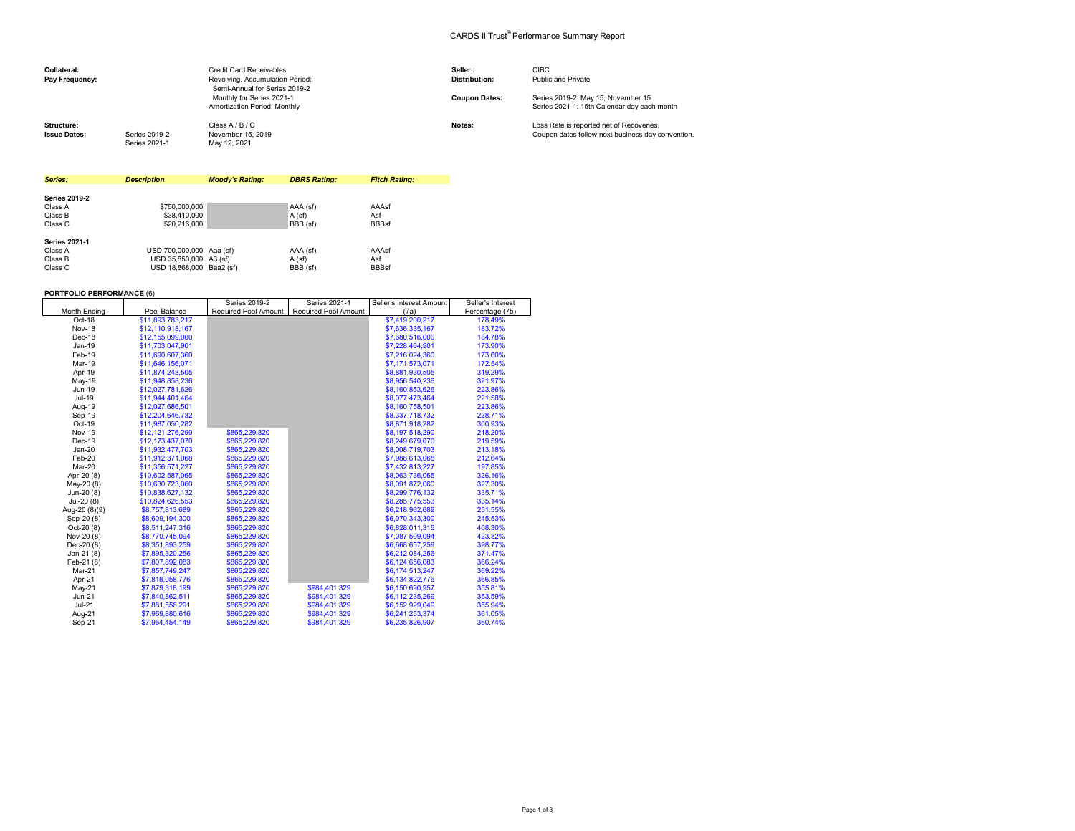## CARDS II Trust® Performance Summary Report

| Collateral:<br>Pay Frequency:     |                                | <b>Credit Card Receivables</b><br>Revolving, Accumulation Period:<br>Semi-Annual for Series 2019-2 | Seller:<br><b>Distribution:</b> | <b>CIBC</b><br>Public and Private                                                             |
|-----------------------------------|--------------------------------|----------------------------------------------------------------------------------------------------|---------------------------------|-----------------------------------------------------------------------------------------------|
|                                   |                                | Monthly for Series 2021-1<br>Amortization Period: Monthly                                          | <b>Coupon Dates:</b>            | Series 2019-2: May 15, November 15<br>Series 2021-1: 15th Calendar day each month             |
| Structure:<br><b>Issue Dates:</b> | Series 2019-2<br>Series 2021-1 | Class A / B / C<br>November 15, 2019<br>May 12, 2021                                               | Notes:                          | Loss Rate is reported net of Recoveries.<br>Coupon dates follow next business day convention. |

| Series:              | <b>Description</b>       | <b>Moody's Rating:</b> | <b>DBRS Rating:</b> | <b>Fitch Rating:</b> |
|----------------------|--------------------------|------------------------|---------------------|----------------------|
|                      |                          |                        |                     |                      |
| <b>Series 2019-2</b> |                          |                        |                     |                      |
| Class A              | \$750,000,000            |                        | AAA (sf)            | AAAsf                |
| Class B              | \$38,410,000             |                        | A(sf)               | Asf                  |
| Class C              | \$20,216,000             |                        | BBB (sf)            | <b>BBBsf</b>         |
| <b>Series 2021-1</b> |                          |                        |                     |                      |
| Class A              | USD 700,000,000 Aaa (sf) |                        | AAA (sf)            | AAAsf                |
| Class B              | USD 35.850,000 A3 (sf)   |                        | A(sf)               | Asf                  |
| Class C              | USD 18.868.000 Baa2 (sf) |                        | BBB (sf)            | <b>BBBsf</b>         |

 $-2010 - 2$ 

┯

 $S = 2001$ 

Seller's Interest Amount

Seller's Interest

## **PORTFOLIO PERFORMANCE** (6)

|                     |                  | Senes Zuis-Z         | Senes ZUZ I-T               | Seller's interest Amount | Seller's interest |
|---------------------|------------------|----------------------|-----------------------------|--------------------------|-------------------|
| <b>Month Ending</b> | Pool Balance     | Required Pool Amount | <b>Required Pool Amount</b> | (7a)                     | Percentage (7b)   |
| Oct-18              | \$11,893,783,217 |                      |                             | \$7,419,200,217          | 178.49%           |
| <b>Nov-18</b>       | \$12,110,918,167 |                      |                             | \$7,636,335,167          | 183.72%           |
| Dec-18              | \$12,155,099,000 |                      |                             | \$7,680,516,000          | 184.78%           |
| $Jan-19$            | \$11,703,047,901 |                      |                             | \$7,228,464,901          | 173.90%           |
| Feb-19              | \$11,690,607,360 |                      |                             | \$7,216,024,360          | 173.60%           |
| Mar-19              | \$11,646,156,071 |                      |                             | \$7,171,573,071          | 172.54%           |
| Apr-19              | \$11,874,248,505 |                      |                             | \$8,881,930,505          | 319.29%           |
| May-19              | \$11,948,858,236 |                      |                             | \$8,956,540,236          | 321.97%           |
| Jun-19              | \$12,027,781,626 |                      |                             | \$8,160,853,626          | 223.86%           |
| Jul-19              | \$11,944,401,464 |                      |                             | \$8,077,473,464          | 221.58%           |
| Aug-19              | \$12,027,686,501 |                      |                             | \$8,160,758,501          | 223.86%           |
| Sep-19              | \$12,204,646,732 |                      |                             | \$8,337,718,732          | 228.71%           |
| Oct-19              | \$11,987,050,282 |                      |                             | \$8,871,918,282          | 300.93%           |
| <b>Nov-19</b>       | \$12,121,276,290 | \$865,229,820        |                             | \$8,197,518,290          | 218.20%           |
| Dec-19              | \$12,173,437,070 | \$865,229,820        |                             | \$8,249,679,070          | 219.59%           |
| $Jan-20$            | \$11,932,477,703 | \$865,229,820        |                             | \$8,008,719,703          | 213.18%           |
| Feb-20              | \$11,912,371,068 | \$865,229,820        |                             | \$7,988,613,068          | 212.64%           |
| Mar-20              | \$11,356,571,227 | \$865,229,820        |                             | \$7,432,813,227          | 197.85%           |
| Apr-20 (8)          | \$10,602,587,065 | \$865,229,820        |                             | \$8,063,736,065          | 326.16%           |
| May-20 (8)          | \$10,630,723,060 | \$865,229,820        |                             | \$8,091,872,060          | 327.30%           |
| Jun-20 (8)          | \$10,838,627,132 | \$865,229,820        |                             | \$8,299,776,132          | 335.71%           |
| Jul-20 (8)          | \$10,824,626,553 | \$865,229,820        |                             | \$8,285,775,553          | 335.14%           |
| Aug-20 (8)(9)       | \$8,757,813,689  | \$865,229.820        |                             | \$6,218,962,689          | 251.55%           |
| Sep-20 (8)          | \$8,609,194,300  | \$865,229,820        |                             | \$6,070,343,300          | 245.53%           |
| $Oct-20(8)$         | \$8,511,247,316  | \$865,229,820        |                             | \$6,828,011,316          | 408.30%           |
| Nov-20 (8)          | \$8,770,745,094  | \$865.229.820        |                             | \$7,087,509,094          | 423.82%           |
| Dec-20 (8)          | \$8,351,893,259  | \$865,229,820        |                             | \$6,668,657,259          | 398.77%           |
| Jan-21 $(8)$        | \$7,895,320,256  | \$865,229,820        |                             | \$6,212,084,256          | 371.47%           |
| Feb-21 (8)          | \$7,807,892,083  | \$865,229,820        |                             | \$6,124,656,083          | 366.24%           |
| Mar-21              | \$7,857,749,247  | \$865,229,820        |                             | \$6,174,513,247          | 369.22%           |
| Apr-21              | \$7,818,058,776  | \$865,229,820        |                             | \$6,134,822,776          | 366.85%           |
| May-21              | \$7,879,318,199  | \$865,229,820        | \$984.401.329               | \$6,150,690,957          | 355.81%           |
| <b>Jun-21</b>       | \$7,840,862.511  | \$865,229.820        | \$984.401.329               | \$6,112,235,269          | 353.59%           |
| <b>Jul-21</b>       | \$7,881,556,291  | \$865,229,820        | \$984,401,329               | \$6,152,929,049          | 355.94%           |
| Aug-21              | \$7,969,880,616  | \$865,229,820        | \$984.401.329               | \$6,241,253,374          | 361.05%           |
| Sep-21              | \$7,964,454,149  | \$865,229,820        | \$984,401,329               | \$6,235,826,907          | 360.74%           |
|                     |                  |                      |                             |                          |                   |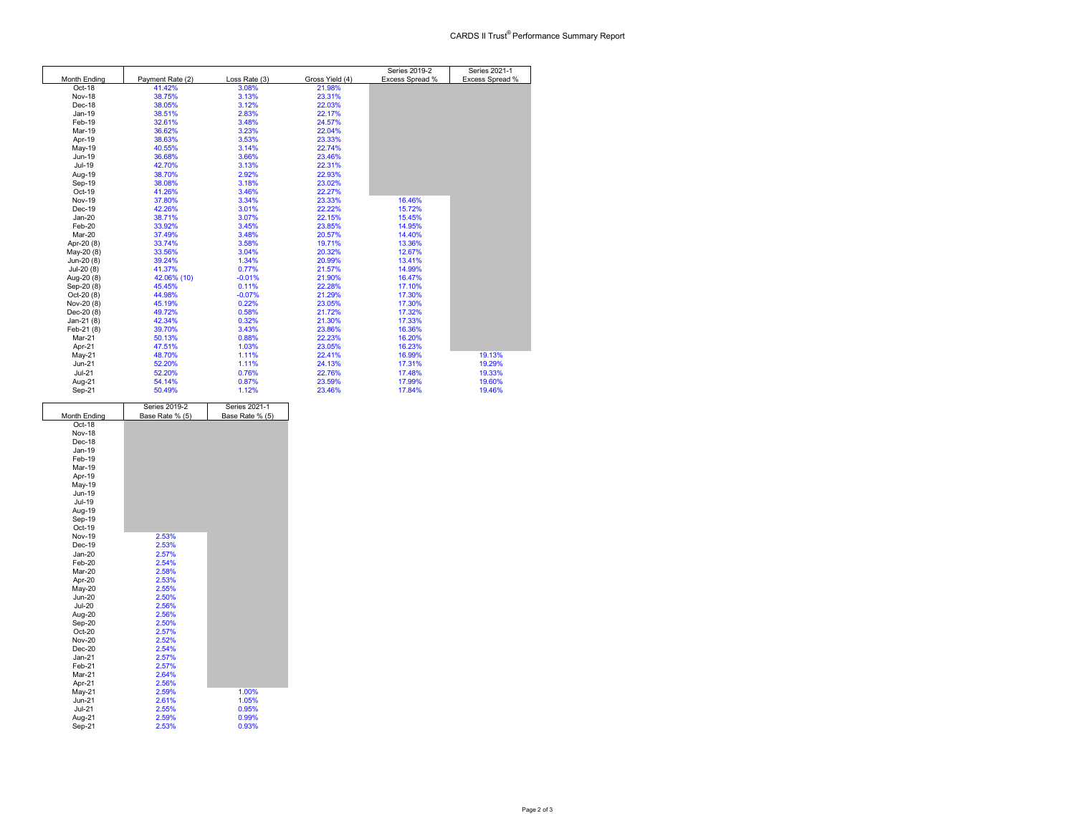|               |                  |               |                 | Series 2019-2   | Series 2021-1   |
|---------------|------------------|---------------|-----------------|-----------------|-----------------|
| Month Ending  | Payment Rate (2) | Loss Rate (3) | Gross Yield (4) | Excess Spread % | Excess Spread % |
| Oct-18        | 41.42%           | 3.08%         | 21.98%          |                 |                 |
| Nov-18        | 38.75%           | 3.13%         | 23.31%          |                 |                 |
| Dec-18        | 38.05%           | 3.12%         | 22.03%          |                 |                 |
| Jan-19        | 38.51%           | 2.83%         | 22.17%          |                 |                 |
| Feb-19        | 32.61%           | 3.48%         | 24.57%          |                 |                 |
| Mar-19        | 36.62%           | 3.23%         | 22.04%          |                 |                 |
| Apr-19        | 38.63%           | 3.53%         | 23.33%          |                 |                 |
| May-19        | 40.55%           | 3.14%         | 22.74%          |                 |                 |
| Jun-19        | 36.68%           | 3.66%         | 23.46%          |                 |                 |
| Jul-19        | 42.70%           | 3.13%         | 22.31%          |                 |                 |
| Aug-19        | 38.70%           | 2.92%         | 22.93%          |                 |                 |
| Sep-19        | 38.08%           | 3.18%         | 23.02%          |                 |                 |
| Oct-19        | 41.26%           | 3.46%         | 22.27%          |                 |                 |
| <b>Nov-19</b> | 37.80%           | 3.34%         | 23.33%          | 16.46%          |                 |
| Dec-19        | 42.26%           | 3.01%         | 22.22%          | 15.72%          |                 |
| $Jan-20$      | 38.71%           | 3.07%         | 22.15%          | 15.45%          |                 |
| Feb-20        | 33.92%           | 3.45%         | 23.85%          | 14.95%          |                 |
| Mar-20        | 37.49%           | 3.48%         | 20.57%          | 14.40%          |                 |
| Apr-20 (8)    | 33.74%           | 3.58%         | 19.71%          | 13.36%          |                 |
| May-20 (8)    | 33.56%           | 3.04%         | 20.32%          | 12.67%          |                 |
| Jun-20 (8)    | 39.24%           | 1.34%         | 20.99%          | 13.41%          |                 |
| Jul-20 (8)    | 41.37%           | 0.77%         | 21.57%          | 14.99%          |                 |
| Aug-20 (8)    | 42.06% (10)      | $-0.01%$      | 21.90%          | 16.47%          |                 |
| Sep-20 (8)    | 45.45%           | 0.11%         | 22.28%          | 17.10%          |                 |
| Oct-20 (8)    | 44.98%           | $-0.07%$      | 21.29%          | 17.30%          |                 |
| Nov-20 (8)    | 45.19%           | 0.22%         | 23.05%          | 17.30%          |                 |
| Dec-20 (8)    | 49.72%           | 0.58%         | 21.72%          | 17.32%          |                 |
| Jan-21 (8)    | 42.34%           | 0.32%         | 21.30%          | 17.33%          |                 |
| Feb-21 (8)    | 39.70%           | 3.43%         | 23.86%          | 16.36%          |                 |
| Mar-21        | 50.13%           | 0.88%         | 22.23%          | 16.20%          |                 |
| Apr-21        | 47.51%           | 1.03%         | 23.05%          | 16.23%          |                 |
| May-21        | 48.70%           | 1.11%         | 22.41%          | 16.99%          | 19.13%          |
| $Jun-21$      | 52.20%           | 1.11%         | 24.13%          | 17.31%          | 19.29%          |
| $Jul-21$      | 52.20%           | 0.76%         | 22.76%          | 17.48%          | 19.33%          |
| Aug-21        | 54.14%           | 0.87%         | 23.59%          | 17.99%          | 19.60%          |
| Sep-21        | 50.49%           | 1.12%         | 23.46%          | 17.84%          | 19.46%          |

|               | Series 2019-2   | Series 2021-1   |  |
|---------------|-----------------|-----------------|--|
| Month Ending  | Base Rate % (5) | Base Rate % (5) |  |
| Oct-18        |                 |                 |  |
| <b>Nov-18</b> |                 |                 |  |
| Dec-18        |                 |                 |  |
| Jan-19        |                 |                 |  |
| Feb-19        |                 |                 |  |
| Mar-19        |                 |                 |  |
| Apr-19        |                 |                 |  |
| May-19        |                 |                 |  |
| Jun-19        |                 |                 |  |
| Jul-19        |                 |                 |  |
| Aug-19        |                 |                 |  |
| Sep-19        |                 |                 |  |
| Oct-19        |                 |                 |  |
| <b>Nov-19</b> | 2.53%           |                 |  |
| Dec-19        | 2.53%           |                 |  |
| $Jan-20$      | 2.57%           |                 |  |
| Feb-20        | 2.54%           |                 |  |
| Mar-20        | 2.58%           |                 |  |
| Apr-20        | 2.53%           |                 |  |
| May-20        | 2.55%           |                 |  |
| <b>Jun-20</b> | 2.50%           |                 |  |
| <b>Jul-20</b> | 2.56%           |                 |  |
| Aug-20        | 2.56%           |                 |  |
| Sep-20        | 2.50%           |                 |  |
| Oct-20        | 2.57%           |                 |  |
| <b>Nov-20</b> | 2.52%           |                 |  |
| $Dec-20$      | 2.54%           |                 |  |
| $Jan-21$      | 2.57%           |                 |  |
| Feb-21        | 2.57%           |                 |  |
| Mar-21        | 2.64%           |                 |  |
| Apr-21        | 2.56%           |                 |  |
| May-21        | 2.59%           | 1.00%           |  |
| $Jun-21$      | 2.61%           | 1.05%           |  |
| <b>Jul-21</b> | 2.55%           | 0.95%           |  |
| Aug-21        | 2.59%           | 0.99%           |  |
| Sep-21        | 2.53%           | 0.93%           |  |